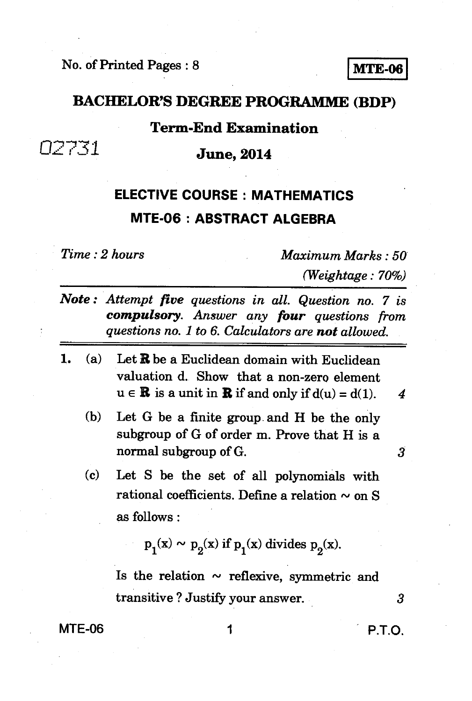## **BACHELOR'S DEGREE PROGRAMME (BDP)**

### **Term-End Examination**

 $02731$  **June, 2014** 

# **ELECTIVE COURSE : MATHEMATICS MTE-06 : ABSTRACT ALGEBRA**

*Time : 2 hours Maximum Marks : 50 (Weightage : 70%)* 

| Note: Attempt five questions in all. Question no. 7 is |  |  |  |
|--------------------------------------------------------|--|--|--|
| compulsory. Answer any four questions from             |  |  |  |
| questions no. 1 to 6. Calculators are not allowed.     |  |  |  |

- *1. (a)* **Let R be a Euclidean domain with Euclidean valuation d. Show that a non-zero element**   $u \in \mathbb{R}$  is a unit in  $\mathbb{R}$  if and only if  $d(u) = d(1)$ . 4
	- **(b) Let G be a finite group. and H be the only subgroup of G of order m. Prove that H is a normal subgroup of G.**
	- **(c) Let S be the set of all polynomials with**  rational coefficients. Define a relation  $\sim$  on S **as follows :**

$$
p_1(x) \sim p_2(x) \text{ if } p_1(x) \text{ divides } p_2(x).
$$

Is the relation  $\sim$  reflexive, symmetric and **transitive ? Justify your answer.** *3* 

**MTE-06 1 1 P.T.O.** 

3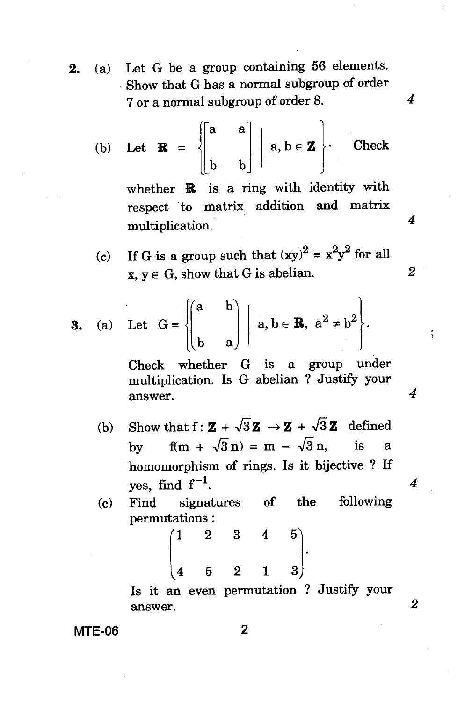**2.** (a) Let G be a group containing 56 elements. Show that G has a normal subgroup of order 7 or a normal subgroup of order 8.

(b) Let 
$$
\mathbf{R} = \begin{bmatrix} a & a \\ b & b \end{bmatrix} | a, b \in \mathbf{Z}
$$
. Check

whether **R** is a ring with identity with respect to matrix addition and matrix multiplication.

 $\overline{4}$ 

 $\boldsymbol{4}$ 

 $\overline{2}$ 

 $\boldsymbol{4}$ 

 $\overline{4}$ 

 $\overline{2}$ 

Ň

(c) If G is a group such that  $(xy)^2 = x^2y^2$  for all  $x, y \in G$ , show that G is abelian.

**3.** (a) Let 
$$
G = \begin{pmatrix} a & b \ b & a \end{pmatrix} | a, b \in \mathbb{R}, a^2 \neq b^2
$$
.

Check whether G is a group under multiplication. Is G abelian ? Justify your answer.

- (b) Show that  $f: \mathbf{Z} + \sqrt{3}\mathbf{Z} \rightarrow \mathbf{Z} + \sqrt{3}\mathbf{Z}$  defined by  $f(m + \sqrt{3} n) = m - \sqrt{3} n$ , is a homomorphism of rings. Is it bijective ? If yes, find  $f^{-1}$ .
- (c) Find signatures of the following

permutations :  
\n
$$
\begin{pmatrix}\n1 & 2 & 3 & 4 & 5 \\
4 & 5 & 2 & 1 & 3\n\end{pmatrix}.
$$

**Is** it an even permutation ? Justify your answer.

**MTE-06** 2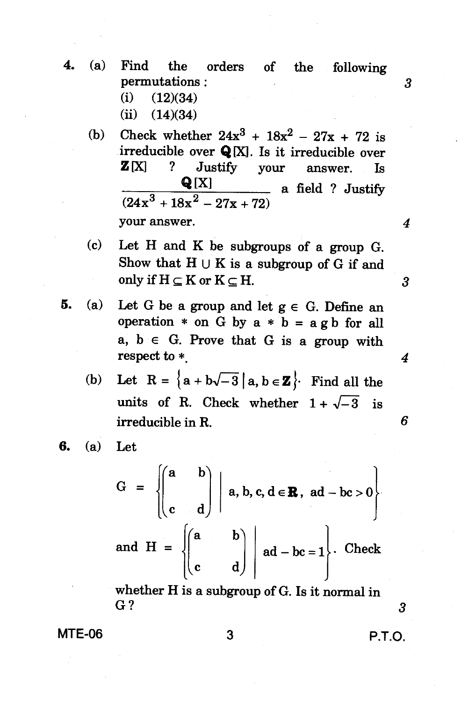- **4. (a) Find the orders of the following permutations : (i) (12)(34)** 
	- **(ii) (14)(34)**
	- (b) Check whether  $24x^3 + 18x^2 27x + 72$  is irreducible over **Q**[X]. Is it irreducible over **Z [X] ? Justify your answer. Is**   $Q[X]$  a field ? Justify  $(24x^3+18x^2-27x+72)$ **your answer.**
	- **(c) Let H and K be subgroups of a group G.**  Show that  $H \cup K$  is a subgroup of G if and only if  $H \subseteq K$  or  $K \subseteq H$ .
- **5.** (a) Let G be a group and let  $g \in G$ . Define an **operation**  $*$  **on** G by  $a * b = a g b$  for all  $a, b \in G$ . Prove that  $G$  is a group with **respect to \*.** 
	- (b) Let  $R = \{a + b\sqrt{-3} \mid a, b \in \mathbb{Z}\}$ . Find all the units of R. Check whether  $1 + \sqrt{-3}$  is **irreducible in R.**
- **6. (a) Let**

 $G =$  $\begin{bmatrix} a & b \end{bmatrix}$ **}**  $\texttt{a},\texttt{b},\texttt{c},\texttt{d}\in \textbf{R}\,,\ \ \texttt{ad}-\texttt{bc}>0\Big\}$ and  $H =$ {: **a b** c  $ad - bc = 1$ . Check

**whether His a subgroup of G. Is it normal in G**? 3

**MTE-06** 3 **P.T.O.** 

3

4

6

4

3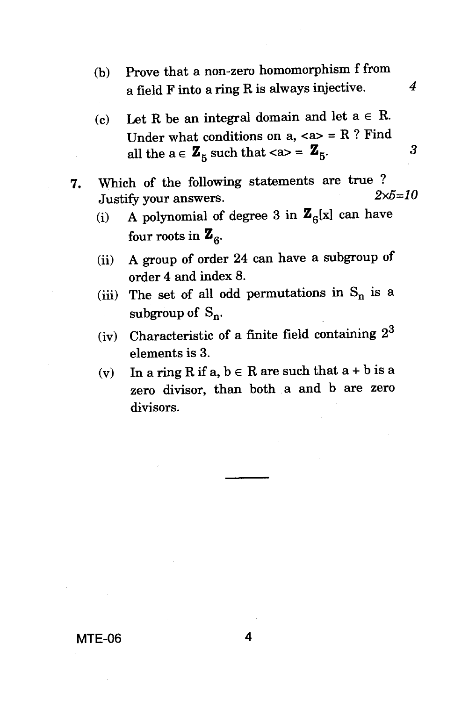- (b) Prove that a non-zero homomorphism f from a field F into a ring R is always injective.  $4$
- (c) Let R be an integral domain and let  $a \in R$ . Under what conditions on  $a_n$ , <a> = R ? Find all the  $a \in \mathbf{Z}_5$  such that  $\langle a \rangle = \mathbf{Z}_5$ .  $\beta$
- **7.** Which of the following statements are true ?<br> $2 \times 5 = 10$ Justify your answers.
	- (i) A polynomial of degree 3 in  $\mathbf{Z}_6[x]$  can have four roots in  $\mathbf{Z}_6$ .
	- (ii) A group of order 24 can have a subgroup of order 4 and index 8.
	- (iii) The set of all odd permutations in  $S_n$  is a subgroup of  $S_n$ .
	- (iv) Characteristic of a finite field containing  $2^3$ elements is 3.
	- (v) In a ring R if a,  $b \in R$  are such that  $a + b$  is a zero divisor, than both a and b are zero divisors.

**MTE-06 4**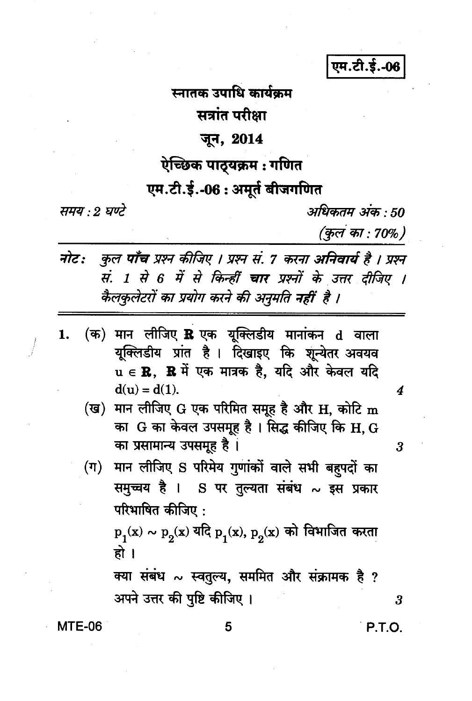एम.टी.ई.-06

स्नातक उपाधि कार्यकम सत्रांत परीक्षा

## जून, 2014

# ऐच्छिक पाठ्यक्रम : गणित

# एम.टी.ई.-06: अमूर्त बीजगणित

समय : २ घण्टे

अधिकतम अंक : 50 (कुल का : 70%)

- कुल पाँच प्रश्न कीजिए । प्रश्न सं. 7 करना अनिवार्य है । प्रश्न नोट: सं. 1 से 6 में से किन्हीं चार प्रश्नों के उत्तर दीजिए । कैलकुलेटरों का प्रयोग करने की अनुमति नहीं है ।
- (क) मान लीजिए R एक युक्लिडीय मानांकन d वाला 1. यूक्लिडीय प्रांत है। दिखाइए कि शून्येतर अवयव  $\mathbf{u} \in \mathbf{R}$ ,  $\mathbf{R} \not\exists \vec{t}$  एक मात्रक है, यदि और केवल यदि  $d(u) = d(1)$ .
	- (ख) मान लीजिए G एक परिमित समूह है और H, कोटि m का G का केवल उपसमूह है। सिद्ध कीजिए कि H, G का प्रसामान्य उपसमूह है।
	- (ग) मान लीजिए S परिमेय गुणांकों वाले सभी बहुपदों का समुच्चय है । S पर तुल्यता संबंध ~ इस प्रकार परिभाषित कीजिए:

 $p_1(x) \sim p_2(x)$  यदि  $p_1(x), p_2(x)$  को विभाजित करता हो ।

क्या संबंध ~ स्वतुल्य, सममित और संक्रामक है ? अपने उत्तर की पृष्टि कीजिए ।

**MTE-06** 

5

**P.T.O.** 

3

4

3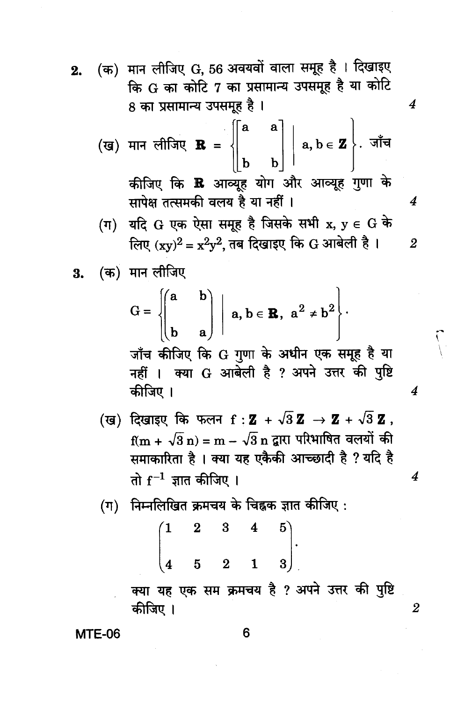(क) मान लीजिए G, 56 अवयवों वाला समूह है । दिखाइए  $2.$ कि G का कोटि 7 का प्रसामान्य उपसमूह है या कोटि 8 का प्रसामान्य उपसमूह है ।

$$
\textbf{(g)} \quad \text{iff} \quad \textbf{R} = \left\{\begin{bmatrix} a & a \\ b & b \end{bmatrix} \middle| \begin{array}{c} a, b \in \mathbf{Z} \\ \end{array}\right\}.
$$

कीजिए कि **R** आव्युह योग और आव्यूह गुणा के सापेक्ष तत्समकी वलय है या नहीं ।

- (ग) यदि G एक ऐसा समूह है जिसके सभी  $x, y \in G$  के लिए  $(xv)^2 = x^2v^2$  तब दिखाइए कि G आबेली है।
- (क) मान लीजिए 3.

$$
G = \begin{bmatrix} \begin{pmatrix} a & b \\ b & a \end{pmatrix} & \begin{pmatrix} a & b \end{pmatrix} & b \in \mathbb{R}, \ a^2 \neq b^2 \end{bmatrix}.
$$

जाँच कीजिए कि G गुणा के अधीन एक समूह है या नहीं । क्या G आबेली है ? अपने उत्तर की पृष्टि कीजिए ।

- (ख) दिखाइए कि फलन f: Z +  $\sqrt{3}$  Z  $\rightarrow$  Z +  $\sqrt{3}$  Z.  $f(m + \sqrt{3} n) = m - \sqrt{3} n$  द्वारा परिभाषित वलयों की समाकारिता है । क्या यह एकैकी आच्छादी है ? यदि है तो  $\rm f^{-1}$  ज्ञात कीजिए ।
- $(\eta)$  निम्नलिखित क्रमचय के चिह्नक ज्ञात कीजिए :

$$
\begin{pmatrix} 1 & 2 & 3 & 4 & 5 \ 4 & 5 & 2 & 1 & 3 \end{pmatrix}.
$$

क्या यह एक सम क्रमचय है ? अपने उत्तर की पुष्टि कीजिए ।

**MTE-06** 

6

4

 $\overline{4}$ 

 $\overline{2}$ 

4

4

 $\sum_{i=1}^{n}$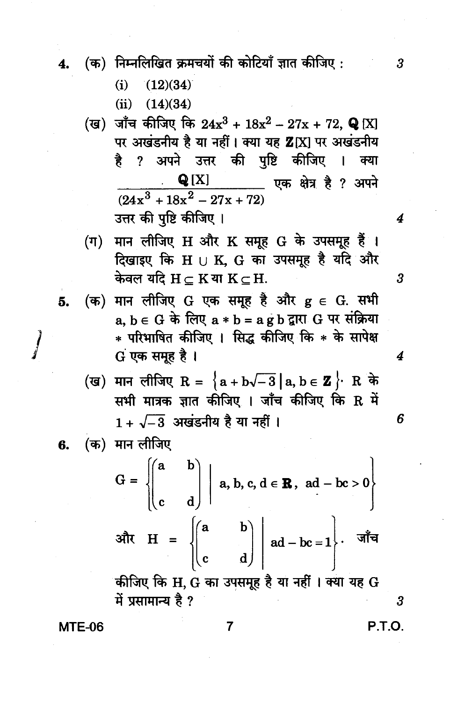- (क) निम्नलिखित क्रमचयों की कोटियाँ ज्ञात कीजिए: 4.
	- $(i)$  $(12)(34)$
	- $(ii)$  $(14)(34)$
	- (ख) जाँच कीजिए कि  $24x^3 + 18x^2 27x + 72$ , Q [X] पर अखंडनीय है या नहीं। क्या यह Z[X] पर अखंडनीय ? अपने उत्तर की पृष्टि कीजिए । ੜੇ ਜ क्या **Q** [X] एक क्षेत्र है ? अपने  $\frac{Q[X]}{(24x^3 + 18x^2 - 27x + 72)}$ उत्तर की पुष्टि कीजिए ।
	- (ग) मान लीजिए H और K समूह G के उपसमूह हैं । दिखाइए कि  $H \cup K$ ,  $G$  का उपसमूह है यदि और केवल यदि  $H \subset K$ या  $K \subset H$ .
- (क) मान लीजिए G एक समूह है और  $g \in G$ . सभी 5.  $a, b \in G$  के लिए  $a * b = a g b$  द्वारा  $G$  पर संक्रिया \* परिभाषित कीजिए । सिद्ध कीजिए कि \* के सापेक्ष G एक समूह है।
	- (ख) मान लीजिए R =  $\{a + b\sqrt{-3} | a, b \in \mathbf{Z}\}$  R के सभी मात्रक ज्ञात कीजिए । जाँच कीजिए कि R में  $1 + \sqrt{-3}$  अखंडनीय है या नहीं ।
- (क) मान लीजिए 6.

 $\int$ 

$$
G = \begin{cases} \begin{pmatrix} a & b \\ c & d \end{pmatrix} & a, b, c, d \in \mathbf{R}, \text{ ad } -bc > 0 \end{cases}
$$
  
3 $\begin{cases} \frac{a}{b} & b \\ c & d \end{cases} \begin{cases} \begin{pmatrix} a & b \\ ad - bc = 1 \end{pmatrix} & \frac{1}{b} \\ \frac{1}{c} & \frac{1}{c} \end{cases}$ 

में प्रसामान्य है ?

 $\overline{7}$ 

**MTE-06** 

**P.T.O.** 

 $\overline{3}$ 

 $\boldsymbol{3}$ 

4

6

 $\overline{\mathbf{4}}$